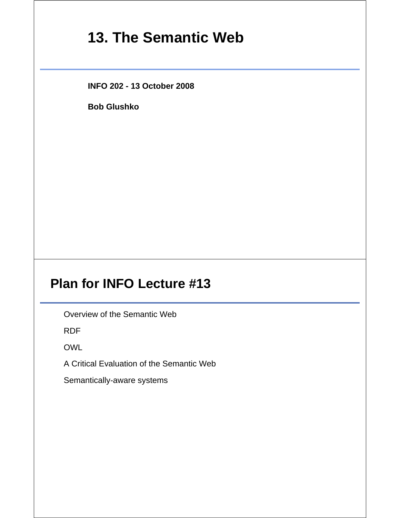# **13. The Semantic Web**

**INFO 202 - 13 October 2008**

**Bob Glushko**

# **Plan for INFO Lecture #13**

Overview of the Semantic Web

RDF

OWL

A Critical Evaluation of the Semantic Web

Semantically-aware systems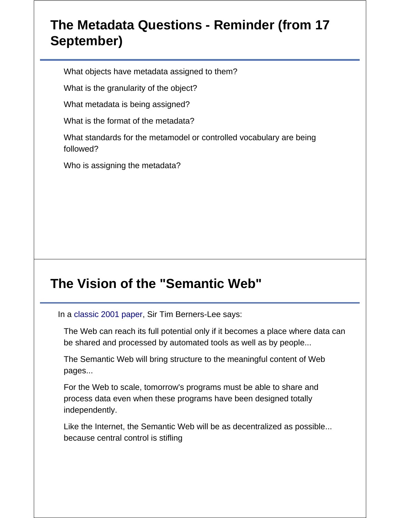# **The Metadata Questions - Reminder (from 17 September)**

What objects have metadata assigned to them?

What is the granularity of the object?

What metadata is being assigned?

What is the format of the metadata?

What standards for the metamodel or controlled vocabulary are being followed?

Who is assigning the metadata?

# **The Vision of the "Semantic Web"**

In a classic 2001 paper, Sir Tim Berners-Lee says:

The Web can reach its full potential only if it becomes a place where data can be shared and processed by automated tools as well as by people...

The Semantic Web will bring structure to the meaningful content of Web pages...

For the Web to scale, tomorrow's programs must be able to share and process data even when these programs have been designed totally independently.

Like the Internet, the Semantic Web will be as decentralized as possible... because central control is stifling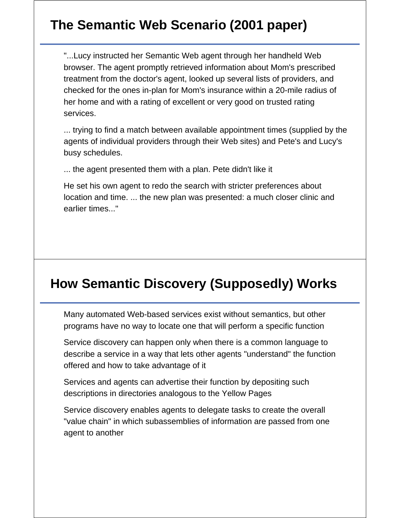# **The Semantic Web Scenario (2001 paper)**

"...Lucy instructed her Semantic Web agent through her handheld Web browser. The agent promptly retrieved information about Mom's prescribed treatment from the doctor's agent, looked up several lists of providers, and checked for the ones in-plan for Mom's insurance within a 20-mile radius of her home and with a rating of excellent or very good on trusted rating services.

... trying to find a match between available appointment times (supplied by the agents of individual providers through their Web sites) and Pete's and Lucy's busy schedules.

... the agent presented them with a plan. Pete didn't like it

He set his own agent to redo the search with stricter preferences about location and time. ... the new plan was presented: a much closer clinic and earlier times..."

#### **How Semantic Discovery (Supposedly) Works**

Many automated Web-based services exist without semantics, but other programs have no way to locate one that will perform a specific function

Service discovery can happen only when there is a common language to describe a service in a way that lets other agents "understand" the function offered and how to take advantage of it

Services and agents can advertise their function by depositing such descriptions in directories analogous to the Yellow Pages

Service discovery enables agents to delegate tasks to create the overall "value chain" in which subassemblies of information are passed from one agent to another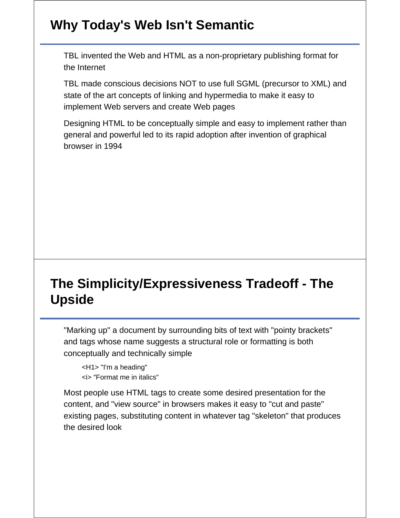# **Why Today's Web Isn't Semantic**

TBL invented the Web and HTML as a non-proprietary publishing format for the Internet

TBL made conscious decisions NOT to use full SGML (precursor to XML) and state of the art concepts of linking and hypermedia to make it easy to implement Web servers and create Web pages

Designing HTML to be conceptually simple and easy to implement rather than general and powerful led to its rapid adoption after invention of graphical browser in 1994

# **The Simplicity/Expressiveness Tradeoff - The Upside**

"Marking up" a document by surrounding bits of text with "pointy brackets" and tags whose name suggests a structural role or formatting is both conceptually and technically simple

<H1> "I'm a heading" <i> "Format me in italics"

Most people use HTML tags to create some desired presentation for the content, and "view source" in browsers makes it easy to "cut and paste" existing pages, substituting content in whatever tag "skeleton" that produces the desired look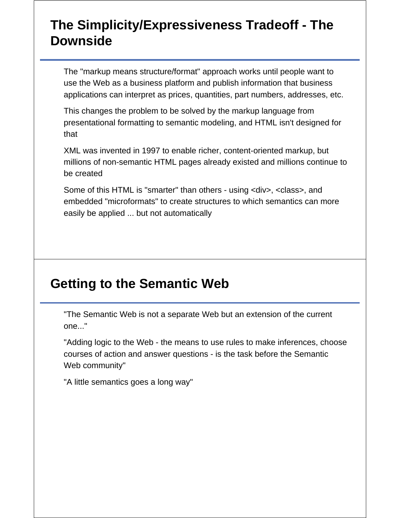## **The Simplicity/Expressiveness Tradeoff - The Downside**

The "markup means structure/format" approach works until people want to use the Web as a business platform and publish information that business applications can interpret as prices, quantities, part numbers, addresses, etc.

This changes the problem to be solved by the markup language from presentational formatting to semantic modeling, and HTML isn't designed for that

XML was invented in 1997 to enable richer, content-oriented markup, but millions of non-semantic HTML pages already existed and millions continue to be created

Some of this HTML is "smarter" than others - using <div>, <class>, and embedded "microformats" to create structures to which semantics can more easily be applied ... but not automatically

# **Getting to the Semantic Web**

"The Semantic Web is not a separate Web but an extension of the current one..."

"Adding logic to the Web - the means to use rules to make inferences, choose courses of action and answer questions - is the task before the Semantic Web community"

"A little semantics goes a long way"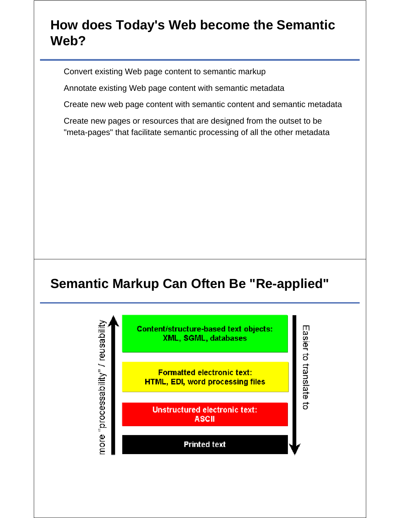#### **How does Today's Web become the Semantic Web?**

Convert existing Web page content to semantic markup

Annotate existing Web page content with semantic metadata

Create new web page content with semantic content and semantic metadata

Create new pages or resources that are designed from the outset to be "meta-pages" that facilitate semantic processing of all the other metadata

# **Semantic Markup Can Often Be "Re-applied"**

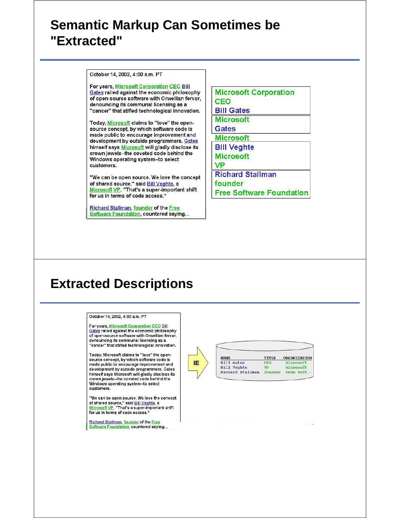#### **Semantic Markup Can Sometimes be "Extracted"**

October 14, 2002, 4:00 a.m. PT

For years, Microsoft Corporation CEO Bill Gates railed against the economic philosophy of open-source software with Orwellian fervor, denouncing its communal licensing as a "cancer" that stifled technological innovation.

Today, Microsoft claims to "love" the opensource concept, by which software code is made public to encourage improvement and development by outside programmers. Gates himself says Microsoft will gladly disclose its crown jewels--the coveted code behind the Windows operating system--to select customers.

"We can be open source. We love the concept of shared source," said Bill Veghte, a Microsoft VP. "That's a super-important shift for us in terms of code access."

Richard Stallman, founder of the Free Software Foundation, countered saying... **Microsoft Corporation CEO Bill Gates Microsoft Gates Microsoft Bill Veghte Microsoft VP Richard Stallman** founder **Free Software Foundation** 

#### **Extracted Descriptions**

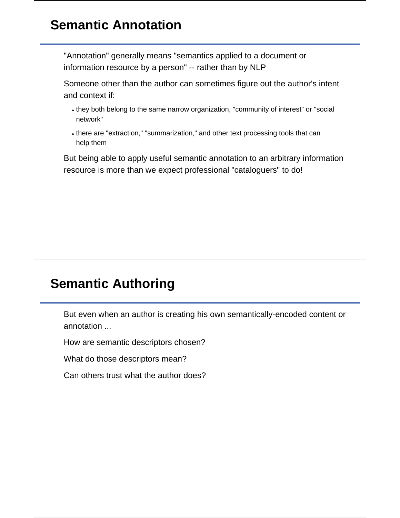# **Semantic Annotation**

"Annotation" generally means "semantics applied to a document or information resource by a person" -- rather than by NLP

Someone other than the author can sometimes figure out the author's intent and context if:

- they both belong to the same narrow organization, "community of interest" or "social network"
- there are "extraction," "summarization," and other text processing tools that can help them

But being able to apply useful semantic annotation to an arbitrary information resource is more than we expect professional "cataloguers" to do!

# **Semantic Authoring**

But even when an author is creating his own semantically-encoded content or annotation ...

How are semantic descriptors chosen?

What do those descriptors mean?

Can others trust what the author does?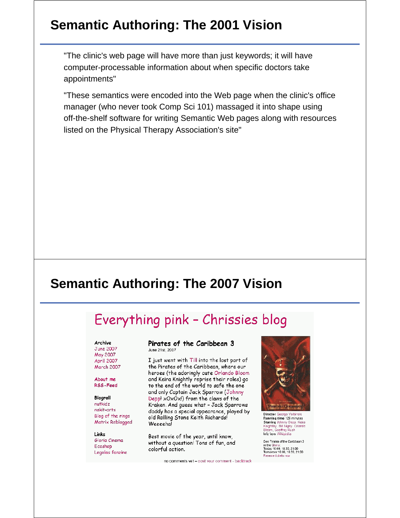#### **Semantic Authoring: The 2001 Vision**

"The clinic's web page will have more than just keywords; it will have computer-processable information about when specific doctors take appointments"

"These semantics were encoded into the Web page when the clinic's office manager (who never took Comp Sci 101) massaged it into shape using off-the-shelf software for writing Semantic Web pages along with resources listed on the Physical Therapy Association's site"

#### **Semantic Authoring: The 2007 Vision**

# Everything pink - Chrissies blog

Archive June 2007 May 2007 April 2007

March 2007 About me

RSS-Feed

Blogroll nutkidz nakit-arts Blog of the rings Matrix Reblogged

Links Gloria Cinema Ecoshop Legolas fanzine

#### Pirates of the Caribbean 3 June 21st, 2007

I just went with Till into the last part of the Pirates of the Caribbean, where our heroes (the adoringly cute Orlando Bloom and Keira Knightly reprise their roles) go to the end of the world to safe the one and only Captain Jack Sparrow (Johnny Depp! xOxOx!) from the claws of the Kraken. And guess what - Jack Sparrows daddy has a special appearance, played by old Rolling Stone Keith Richards! Weeeeha!

Best movie of the year, until know, without a question! Tons of fun, and colorful action.

no comments vet - post vour comment - backtrack



Director George Verbinski<br>Running time 126 minutes Starring Johnny Depp, Keira<br>Knightley, Bill Nighy, Orlando<br>Bloom, Geoffrey Rush<br>Info from Wikipedia

See Pirates of the Caribbean 3 our Final State Canadian In the Glana:<br>Today 16:00, 18:30, 21:00<br>Tomorrow 16:00, 18:30, 21:00<br>Reserve tickets now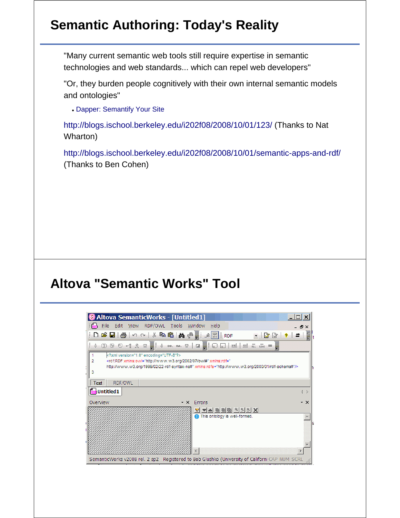# **Semantic Authoring: Today's Reality**

"Many current semantic web tools still require expertise in semantic technologies and web standards... which can repel web developers"

"Or, they burden people cognitively with their own internal semantic models and ontologies"

Dapper: Semantify Your Site

http://blogs.ischool.berkeley.edu/i202f08/2008/10/01/123/ (Thanks to Nat Wharton)

http://blogs.ischool.berkeley.edu/i202f08/2008/10/01/semantic-apps-and-rdf/ (Thanks to Ben Cohen)

#### **Altova "Semantic Works" Tool**

| <b>B</b> Altova SemanticWorks - [Untitled1]    |                                                                                                                                                                                                                                                                                                                                                                                                                                                                                                                                              | $ \Box$ $\times$                                                                               |
|------------------------------------------------|----------------------------------------------------------------------------------------------------------------------------------------------------------------------------------------------------------------------------------------------------------------------------------------------------------------------------------------------------------------------------------------------------------------------------------------------------------------------------------------------------------------------------------------------|------------------------------------------------------------------------------------------------|
| : man Eile Edit View RDF/OWL Tools Window Help |                                                                                                                                                                                                                                                                                                                                                                                                                                                                                                                                              | - 8 ×                                                                                          |
|                                                | ┊Dӫ⊌¦⊜│∽∾│∦฿®¦₩°⊪;҂ <mark>Ω</mark> │RDF                                                                                                                                                                                                                                                                                                                                                                                                                                                                                                      | $-331$                                                                                         |
|                                                | $\textcircled{1}\textcircled{2}\ \bowtie\ \textcircled{3}\ \bowtie\ \textcircled{4}\ \bowtie\ \textcircled{4}\ \bowtie\ \textcircled{5}\ \bowtie\ \textcircled{8}\ \bowtie\ \textcircled{1}\ \bowtie\ \textcircled{1}\ \bowtie\ \textcircled{1}\ \bowtie\ \textcircled{1}\ \bowtie\ \textcircled{4}\ \bowtie\ \textcircled{5}\ \bowtie\ \textcircled{6}\ \bowtie\ \textcircled{7}\ \bowtie\ \textcircled{8}\ \bowtie\ \textcircled{9}\ \bowtie\ \textcircled{9}\ \bowtie\ \textcircled{1}\ \bowtie\ \textcircled{1}\ \bowtie\ \textcircled{$ |                                                                                                |
| xml version="1.0" encoding="UTF-8"?            | <rdf:rdf xmlns:owl="http://www.w3.org/2002/07/ow#" xmlns:rdf="&lt;br&gt;http://www.w3.org/1999/02/22-rdf-syntax-ns#" xmlns:rdfs="http://www.w3.org/2000/01/rdf-schema#"></rdf:rdf>                                                                                                                                                                                                                                                                                                                                                           |                                                                                                |
| RDF/OWL<br>Text<br><b>om</b> Untitled 1        |                                                                                                                                                                                                                                                                                                                                                                                                                                                                                                                                              | $\left\langle \right $                                                                         |
| Overview                                       | Errors<br>$\mathbf{v} \times$                                                                                                                                                                                                                                                                                                                                                                                                                                                                                                                | $\star$ $\times$                                                                               |
|                                                | <u>V VA BDG A SK</u><br>This ontology is well-formed.                                                                                                                                                                                                                                                                                                                                                                                                                                                                                        |                                                                                                |
|                                                |                                                                                                                                                                                                                                                                                                                                                                                                                                                                                                                                              | SemanticWorks v2008 rel. 2 sp2 Registered to Bob Glushko (University of Californi CAP NUM SCRL |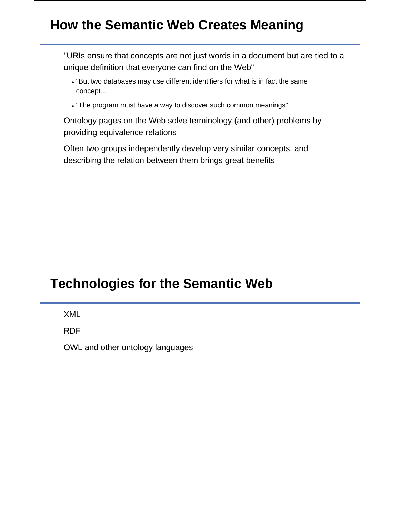# **How the Semantic Web Creates Meaning**

"URIs ensure that concepts are not just words in a document but are tied to a unique definition that everyone can find on the Web"

- "But two databases may use different identifiers for what is in fact the same concept...
- "The program must have a way to discover such common meanings"

Ontology pages on the Web solve terminology (and other) problems by providing equivalence relations

Often two groups independently develop very similar concepts, and describing the relation between them brings great benefits

#### **Technologies for the Semantic Web**

XML

RDF

OWL and other ontology languages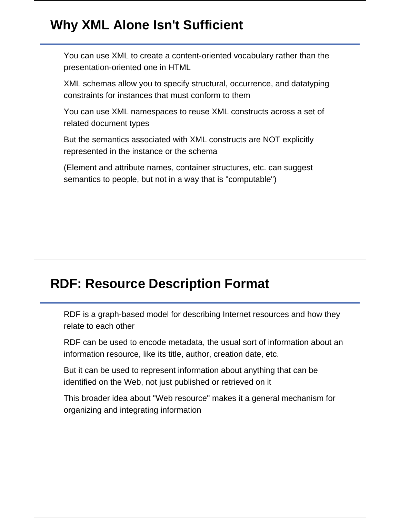# **Why XML Alone Isn't Sufficient**

You can use XML to create a content-oriented vocabulary rather than the presentation-oriented one in HTML

XML schemas allow you to specify structural, occurrence, and datatyping constraints for instances that must conform to them

You can use XML namespaces to reuse XML constructs across a set of related document types

But the semantics associated with XML constructs are NOT explicitly represented in the instance or the schema

(Element and attribute names, container structures, etc. can suggest semantics to people, but not in a way that is "computable")

# **RDF: Resource Description Format**

RDF is a graph-based model for describing Internet resources and how they relate to each other

RDF can be used to encode metadata, the usual sort of information about an information resource, like its title, author, creation date, etc.

But it can be used to represent information about anything that can be identified on the Web, not just published or retrieved on it

This broader idea about "Web resource" makes it a general mechanism for organizing and integrating information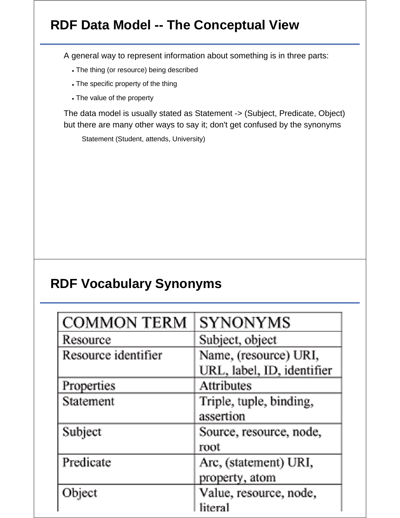# **RDF Data Model -- The Conceptual View**

A general way to represent information about something is in three parts:

- The thing (or resource) being described
- The specific property of the thing
- The value of the property

The data model is usually stated as Statement -> (Subject, Predicate, Object) but there are many other ways to say it; don't get confused by the synonyms

Statement (Student, attends, University)

#### **RDF Vocabulary Synonyms**

| <b>COMMON TERM</b>  | SYNONYMS                   |
|---------------------|----------------------------|
| Resource            | Subject, object            |
| Resource identifier | Name, (resource) URI,      |
|                     | URL, label, ID, identifier |
| Properties          | Attributes                 |
| Statement           | Triple, tuple, binding,    |
|                     | assertion                  |
| Subject             | Source, resource, node,    |
|                     | root                       |
| Predicate           | Arc, (statement) URI,      |
|                     | property, atom             |
| Object              | Value, resource, node,     |
|                     | litera1                    |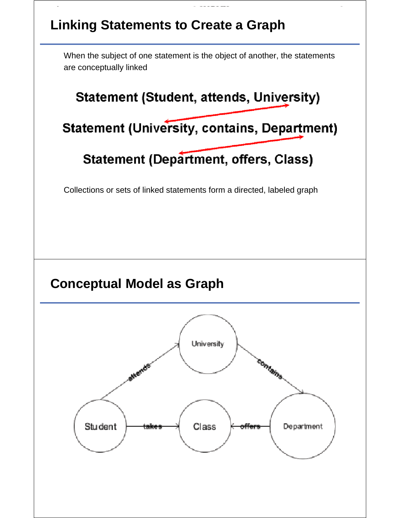# **Linking Statements to Create a Graph** When the subject of one statement is the object of another, the statements are conceptually linked **Statement (Student, attends, University) Statement (University, contains, Department) Statement (Department, offers, Class)** Collections or sets of linked statements form a directed, labeled graph **Conceptual Model as Graph**University contains Student Class Department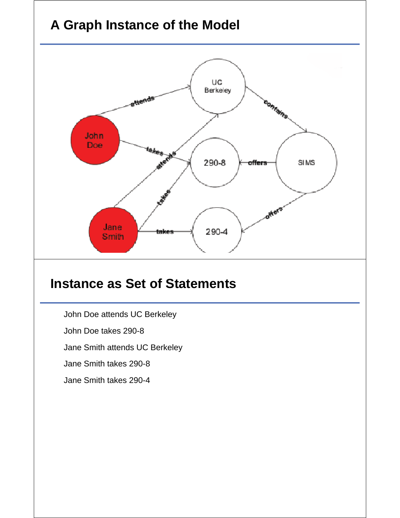# **A Graph Instance of the Model**



#### **Instance as Set of Statements**

John Doe attends UC Berkeley

John Doe takes 290-8

Jane Smith attends UC Berkeley

Jane Smith takes 290-8

Jane Smith takes 290-4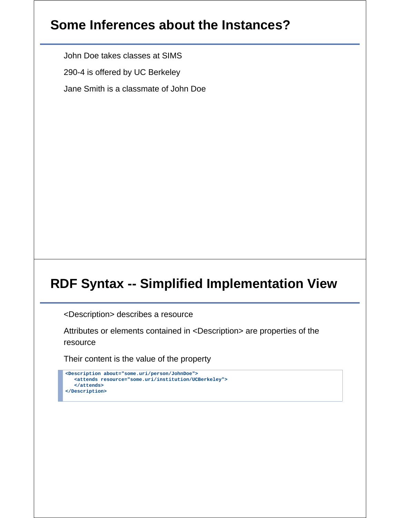### **Some Inferences about the Instances?**

John Doe takes classes at SIMS

290-4 is offered by UC Berkeley

Jane Smith is a classmate of John Doe

# **RDF Syntax -- Simplified Implementation View**

<Description> describes a resource

Attributes or elements contained in <Description> are properties of the resource

Their content is the value of the property

```
<Description about="some.uri/person/JohnDoe">
   <attends resource="some.uri/institution/UCBerkeley">
   </attends>
</Description>
```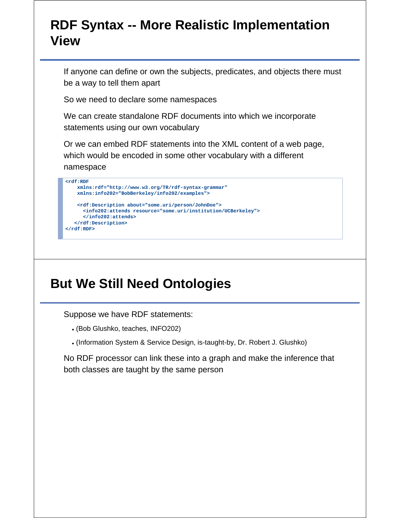#### **RDF Syntax -- More Realistic Implementation View**

If anyone can define or own the subjects, predicates, and objects there must be a way to tell them apart

So we need to declare some namespaces

We can create standalone RDF documents into which we incorporate statements using our own vocabulary

Or we can embed RDF statements into the XML content of a web page, which would be encoded in some other vocabulary with a different namespace

```
<rdf:RDF
    xmlns:rdf="http://www.w3.org/TR/rdf-syntax-grammar"
    xmlns:info202="BobBerkeley/info202/examples">
    <rdf:Description about="some.uri/person/JohnDoe">
       <info202:attends resource="some.uri/institution/UCBerkeley">
       </info202:attends>
   </rdf:Description>
</rdf:RDF>
```
#### **But We Still Need Ontologies**

Suppose we have RDF statements:

- (Bob Glushko, teaches, INFO202)
- (Information System & Service Design, is-taught-by, Dr. Robert J. Glushko)

No RDF processor can link these into a graph and make the inference that both classes are taught by the same person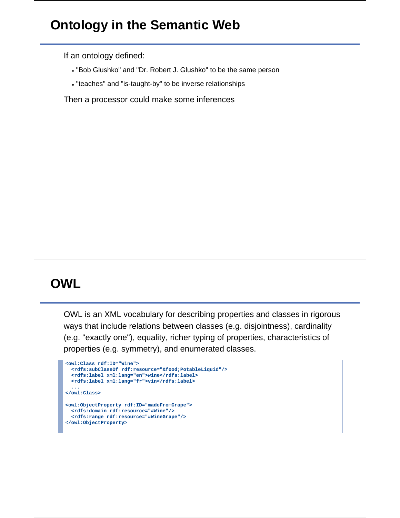# **Ontology in the Semantic Web**

If an ontology defined:

- "Bob Glushko" and "Dr. Robert J. Glushko" to be the same person
- "teaches" and "is-taught-by" to be inverse relationships

Then a processor could make some inferences

# **OWL**

OWL is an XML vocabulary for describing properties and classes in rigorous ways that include relations between classes (e.g. disjointness), cardinality (e.g. "exactly one"), equality, richer typing of properties, characteristics of properties (e.g. symmetry), and enumerated classes.

```
<owl:Class rdf:ID="Wine"> 
  <rdfs:subClassOf rdf:resource="&food;PotableLiquid"/> 
  <rdfs:label xml:lang="en">wine</rdfs:label> 
  <rdfs:label xml:lang="fr">vin</rdfs:label> 
   ... 
</owl:Class> 
<owl:ObjectProperty rdf:ID="madeFromGrape"> 
  <rdfs:domain rdf:resource="#Wine"/>
  <rdfs:range rdf:resource="#WineGrape"/> 
</owl:ObjectProperty>
```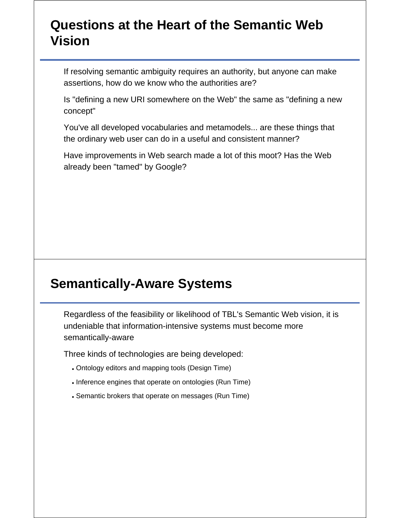#### **Questions at the Heart of the Semantic Web Vision**

If resolving semantic ambiguity requires an authority, but anyone can make assertions, how do we know who the authorities are?

Is "defining a new URI somewhere on the Web" the same as "defining a new concept"

You've all developed vocabularies and metamodels... are these things that the ordinary web user can do in a useful and consistent manner?

Have improvements in Web search made a lot of this moot? Has the Web already been "tamed" by Google?

#### **Semantically-Aware Systems**

Regardless of the feasibility or likelihood of TBL's Semantic Web vision, it is undeniable that information-intensive systems must become more semantically-aware

Three kinds of technologies are being developed:

- Ontology editors and mapping tools (Design Time)
- . Inference engines that operate on ontologies (Run Time)
- Semantic brokers that operate on messages (Run Time)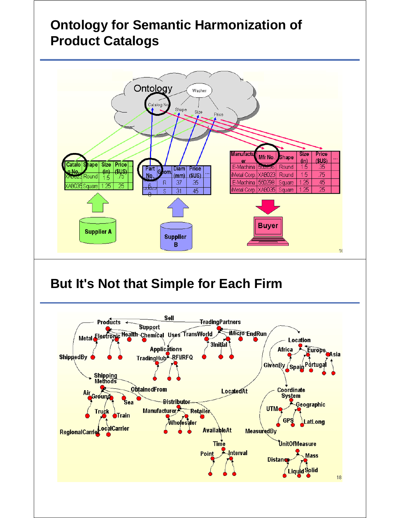# **Ontology for Semantic Harmonization of Product Catalogs**